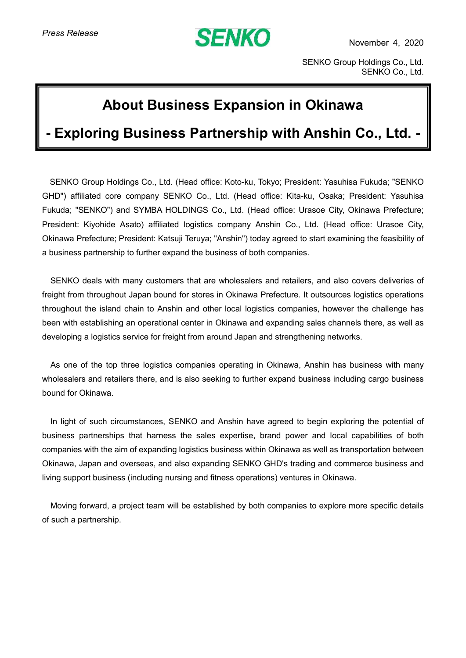## **SENKO**

November 4, 2020

SENKO Group Holdings Co., Ltd. SENKO Co., Ltd.

## **About Business Expansion in Okinawa**

## **- Exploring Business Partnership with Anshin Co., Ltd. -**

SENKO Group Holdings Co., Ltd. (Head office: Koto-ku, Tokyo; President: Yasuhisa Fukuda; "SENKO GHD") affiliated core company SENKO Co., Ltd. (Head office: Kita-ku, Osaka; President: Yasuhisa Fukuda; "SENKO") and SYMBA HOLDINGS Co., Ltd. (Head office: Urasoe City, Okinawa Prefecture; President: Kiyohide Asato) affiliated logistics company Anshin Co., Ltd. (Head office: Urasoe City, Okinawa Prefecture; President: Katsuji Teruya; "Anshin") today agreed to start examining the feasibility of a business partnership to further expand the business of both companies.

SENKO deals with many customers that are wholesalers and retailers, and also covers deliveries of freight from throughout Japan bound for stores in Okinawa Prefecture. It outsources logistics operations throughout the island chain to Anshin and other local logistics companies, however the challenge has been with establishing an operational center in Okinawa and expanding sales channels there, as well as developing a logistics service for freight from around Japan and strengthening networks.

As one of the top three logistics companies operating in Okinawa, Anshin has business with many wholesalers and retailers there, and is also seeking to further expand business including cargo business bound for Okinawa.

In light of such circumstances, SENKO and Anshin have agreed to begin exploring the potential of business partnerships that harness the sales expertise, brand power and local capabilities of both companies with the aim of expanding logistics business within Okinawa as well as transportation between Okinawa, Japan and overseas, and also expanding SENKO GHD's trading and commerce business and living support business (including nursing and fitness operations) ventures in Okinawa.

Moving forward, a project team will be established by both companies to explore more specific details of such a partnership.